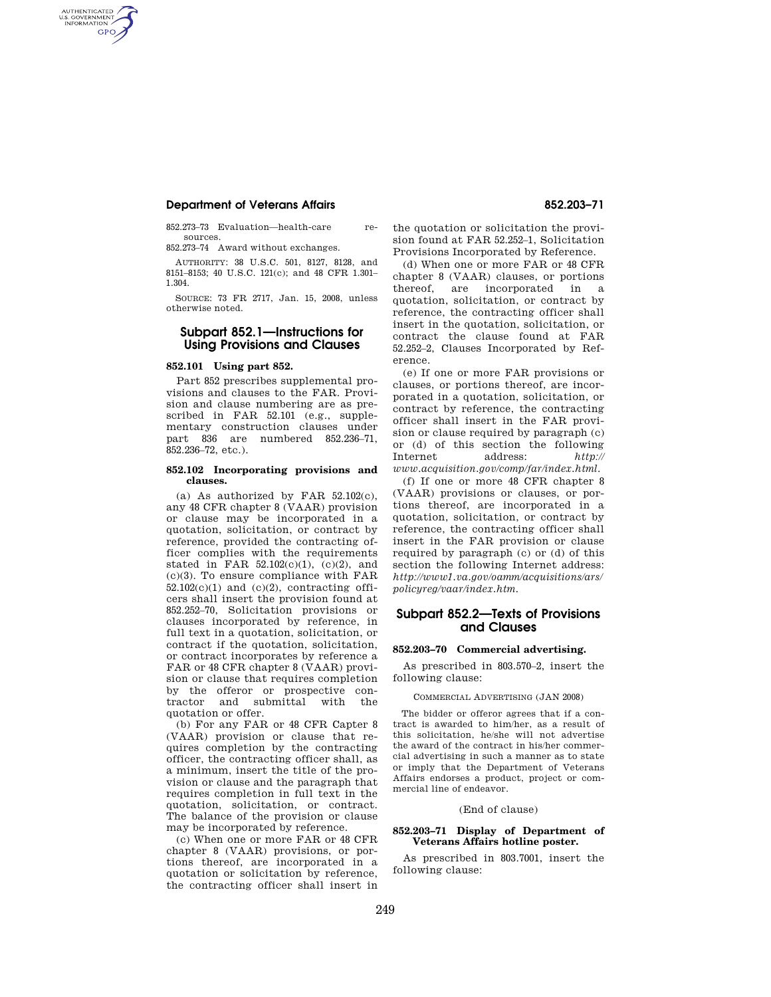## **Department of Veterans Affairs 852.203–71**

AUTHENTICATED<br>U.S. GOVERNMENT<br>INFORMATION **GPO** 

> 852.273–73 Evaluation—health-care resources.

852.273–74 Award without exchanges.

AUTHORITY: 38 U.S.C. 501, 8127, 8128, and 8151–8153; 40 U.S.C. 121(c); and 48 CFR 1.301– 1.304.

SOURCE: 73 FR 2717, Jan. 15, 2008, unless otherwise noted.

# **Subpart 852.1—Instructions for Using Provisions and Clauses**

## **852.101 Using part 852.**

Part 852 prescribes supplemental provisions and clauses to the FAR. Provision and clause numbering are as prescribed in FAR 52.101 (e.g., supplementary construction clauses under part 836 are numbered 852.236–71, 852.236–72, etc.).

### **852.102 Incorporating provisions and clauses.**

(a) As authorized by FAR 52.102(c), any 48 CFR chapter 8 (VAAR) provision or clause may be incorporated in a quotation, solicitation, or contract by reference, provided the contracting officer complies with the requirements stated in FAR  $52.102(c)(1)$ ,  $(c)(2)$ , and (c)(3). To ensure compliance with FAR  $52.102(c)(1)$  and  $(c)(2)$ , contracting officers shall insert the provision found at 852.252–70, Solicitation provisions or clauses incorporated by reference, in full text in a quotation, solicitation, or contract if the quotation, solicitation, or contract incorporates by reference a FAR or 48 CFR chapter 8 (VAAR) provision or clause that requires completion by the offeror or prospective contractor and submittal with the quotation or offer.

(b) For any FAR or 48 CFR Capter 8 (VAAR) provision or clause that requires completion by the contracting officer, the contracting officer shall, as a minimum, insert the title of the provision or clause and the paragraph that requires completion in full text in the quotation, solicitation, or contract. The balance of the provision or clause may be incorporated by reference.

(c) When one or more FAR or 48 CFR chapter 8 (VAAR) provisions, or portions thereof, are incorporated in a quotation or solicitation by reference, the contracting officer shall insert in

the quotation or solicitation the provision found at FAR 52.252–1, Solicitation Provisions Incorporated by Reference.

(d) When one or more FAR or 48 CFR chapter 8 (VAAR) clauses, or portions thereof, are incorporated in a quotation, solicitation, or contract by reference, the contracting officer shall insert in the quotation, solicitation, or contract the clause found at FAR 52.252–2, Clauses Incorporated by Reference.

(e) If one or more FAR provisions or clauses, or portions thereof, are incorporated in a quotation, solicitation, or contract by reference, the contracting officer shall insert in the FAR provision or clause required by paragraph (c) or (d) of this section the following Internet address: *http:// www.acquisition.gov/comp/far/index.html*.

(f) If one or more 48 CFR chapter 8 (VAAR) provisions or clauses, or portions thereof, are incorporated in a quotation, solicitation, or contract by reference, the contracting officer shall insert in the FAR provision or clause required by paragraph (c) or (d) of this section the following Internet address: *http://www1.va.gov/oamm/acquisitions/ars/ policyreg/vaar/index.htm.* 

# **Subpart 852.2—Texts of Provisions and Clauses**

## **852.203–70 Commercial advertising.**

As prescribed in 803.570–2, insert the following clause:

## COMMERCIAL ADVERTISING (JAN 2008)

The bidder or offeror agrees that if a contract is awarded to him/her, as a result of this solicitation, he/she will not advertise the award of the contract in his/her commercial advertising in such a manner as to state or imply that the Department of Veterans Affairs endorses a product, project or commercial line of endeavor.

#### (End of clause)

## **852.203–71 Display of Department of Veterans Affairs hotline poster.**

As prescribed in 803.7001, insert the following clause: